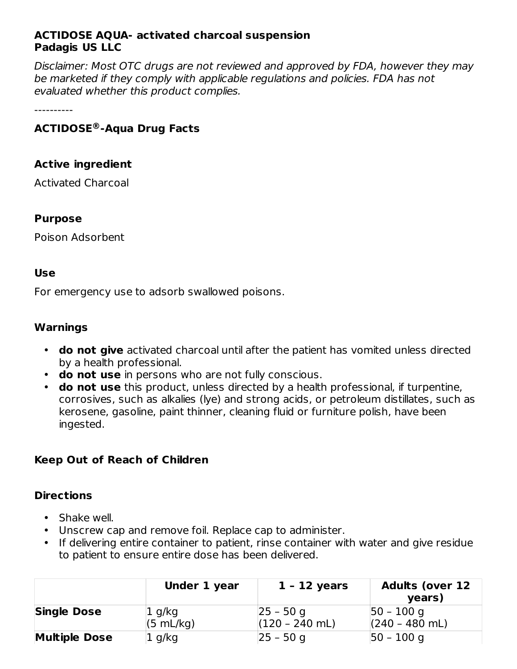## **ACTIDOSE AQUA- activated charcoal suspension Padagis US LLC**

Disclaimer: Most OTC drugs are not reviewed and approved by FDA, however they may be marketed if they comply with applicable regulations and policies. FDA has not evaluated whether this product complies.

----------

# **ACTIDOSE -Aqua Drug Facts ®**

#### **Active ingredient**

Activated Charcoal

#### **Purpose**

Poison Adsorbent

#### **Use**

For emergency use to adsorb swallowed poisons.

#### **Warnings**

- **do not give** activated charcoal until after the patient has vomited unless directed by a health professional.
- **do not use** in persons who are not fully conscious.
- **do not use** this product, unless directed by a health professional, if turpentine, corrosives, such as alkalies (lye) and strong acids, or petroleum distillates, such as kerosene, gasoline, paint thinner, cleaning fluid or furniture polish, have been ingested.

## **Keep Out of Reach of Children**

#### **Directions**

- Shake well.
- Unscrew cap and remove foil. Replace cap to administer.
- If delivering entire container to patient, rinse container with water and give residue to patient to ensure entire dose has been delivered.

|                      | Under 1 year        | 1 - 12 years                     | <b>Adults (over 12</b><br>years)  |
|----------------------|---------------------|----------------------------------|-----------------------------------|
| <b>Single Dose</b>   | 1 g/kg<br>(5 mL/kg) | $ 25 - 50$ q<br>$(120 - 240$ mL) | $ 50 - 100$ g<br>$(240 - 480$ mL) |
| <b>Multiple Dose</b> | 1 g/kg              | $ 25 - 50$ q                     | $ 50 - 100$ g                     |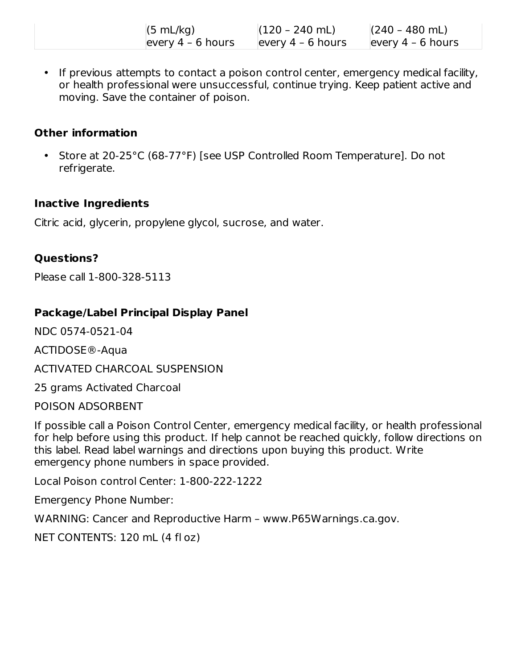| (5 mL/kg)           | $(120 - 240$ mL)    | $(240 - 480$ mL)    |
|---------------------|---------------------|---------------------|
| every $4 - 6$ hours | every $4 - 6$ hours | every $4 - 6$ hours |

• If previous attempts to contact a poison control center, emergency medical facility, or health professional were unsuccessful, continue trying. Keep patient active and moving. Save the container of poison.

## **Other information**

• Store at 20-25°C (68-77°F) [see USP Controlled Room Temperature]. Do not refrigerate.

# **Inactive Ingredients**

Citric acid, glycerin, propylene glycol, sucrose, and water.

# **Questions?**

Please call 1-800-328-5113

# **Package/Label Principal Display Panel**

NDC 0574-0521-04

ACTIDOSE®-Aqua

ACTIVATED CHARCOAL SUSPENSION

25 grams Activated Charcoal

POISON ADSORBENT

If possible call a Poison Control Center, emergency medical facility, or health professional for help before using this product. If help cannot be reached quickly, follow directions on this label. Read label warnings and directions upon buying this product. Write emergency phone numbers in space provided.

Local Poison control Center: 1-800-222-1222

Emergency Phone Number:

WARNING: Cancer and Reproductive Harm – www.P65Warnings.ca.gov.

NET CONTENTS: 120 mL (4 fl oz)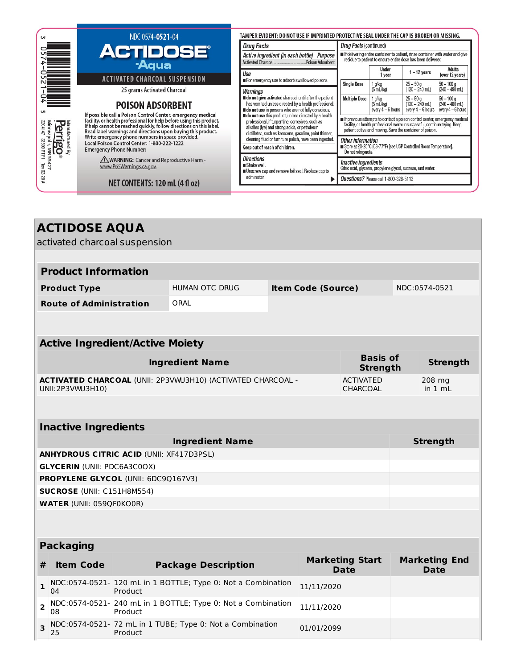| <b>UN</b>                                                                                                                                                                                                                                                                                                                                                                | NDC 0574-0521-04                                                              | TAMPER EVIDENT: DO NOT USE IF IMPRINTED PROTECTIVE SEAL UNDER THE CAP IS BROKEN OR MISSING.                                                                                                                          |                                                                                                                                                                                                                       |                                                                                                                                             |                                                     |                                                      |  |
|--------------------------------------------------------------------------------------------------------------------------------------------------------------------------------------------------------------------------------------------------------------------------------------------------------------------------------------------------------------------------|-------------------------------------------------------------------------------|----------------------------------------------------------------------------------------------------------------------------------------------------------------------------------------------------------------------|-----------------------------------------------------------------------------------------------------------------------------------------------------------------------------------------------------------------------|---------------------------------------------------------------------------------------------------------------------------------------------|-----------------------------------------------------|------------------------------------------------------|--|
|                                                                                                                                                                                                                                                                                                                                                                          |                                                                               | <b>Drug Facts</b>                                                                                                                                                                                                    | Drug Facts (continued)                                                                                                                                                                                                |                                                                                                                                             |                                                     |                                                      |  |
|                                                                                                                                                                                                                                                                                                                                                                          | <b>ACTIDOSE®</b><br><b>Aqua</b>                                               | Active ingredient (in each bottle) Purpose<br>Activated CharcoalPoison Adsorbent                                                                                                                                     |                                                                                                                                                                                                                       | If delivering entire container to patient, rinse container with water and give residue to patient to ensure entire dose has been delivered. |                                                     |                                                      |  |
|                                                                                                                                                                                                                                                                                                                                                                          | <b>ACTIVATED CHARCOAL SUSPENSION</b>                                          | Use<br>For emergency use to adsorb swallowed poisons.                                                                                                                                                                |                                                                                                                                                                                                                       | Under<br>1 year                                                                                                                             | $1 - 12$ years                                      | Adults<br>(over 12 years)                            |  |
|                                                                                                                                                                                                                                                                                                                                                                          | 25 grams Activated Charcoal                                                   | Warnings                                                                                                                                                                                                             | <b>Single Dose</b>                                                                                                                                                                                                    | $1$ g/kg<br>$(5 \text{ mL/kg})$                                                                                                             | $25 - 50q$<br>$(120 - 240$ mL)                      | $50 - 100$ a<br>$(240 - 480 \text{ mL})$             |  |
| UЛ                                                                                                                                                                                                                                                                                                                                                                       | <b>POISON ADSORBENT</b>                                                       | do not give activated charcoal until after the patient<br>has vomited unless directed by a health professional.<br>do not use in persons who are not fully conscious.                                                | <b>Multiple Dose</b>                                                                                                                                                                                                  | 1 g/kg<br>(5 mL/kg)<br>every $4-6$ hours                                                                                                    | $25 - 50q$<br>$(120 - 240$ mL)<br>every $4-6$ hours | $50 - 100a$<br>$(240 - 480$ mL)<br>every $4-6$ hours |  |
| If possible call a Poison Control Center, emergency medical<br>facility, or health professional for help before using this product.<br>If help cannot be reached quickly, follow directions on this label.<br>Manufactured<br>Perrri <i>p</i><br>eri<br>Read label warnings and directions upon buying this product.<br>Write emergency phone numbers in space provided. |                                                                               | do not use this product, unless directed by a health<br>professional, if turpentine, corrosives, such as<br>alkalies (lye) and strong acids, or petroleum<br>distillates, such as kerosene, gasoline, paint thinner, | ■ If previous attempts to contact a poison control center, emergency medical<br>facility, or health professional were unsuccessful, continue trying. Keep<br>patient active and moving. Save the container of poison. |                                                                                                                                             |                                                     |                                                      |  |
| Minneapolis, MN 5<br>2204147   32809 RT F1<br>MN 55<br>O<br>த                                                                                                                                                                                                                                                                                                            | Local Poison Control Center: 1-800-222-1222<br><b>Emergency Phone Number:</b> | cleaning fluid or furniture polish, have been ingested.<br>Keep out of reach of children.                                                                                                                            | Other information<br>Store at 20-25°C (68-77°F) [see USP Controlled Room Temperature].<br>Do not refrigerate.                                                                                                         |                                                                                                                                             |                                                     |                                                      |  |
| $427$<br>Rev                                                                                                                                                                                                                                                                                                                                                             | /NWARNING: Cancer and Reproductive Harm -<br>www.P65Warnings.ca.gov.          | <b>Directions</b><br>Shake well.<br>Unscrew cap and remove foil seal. Replace cap to                                                                                                                                 | <b>Inactive ingredients</b><br>Citric acid, glycerin, propylene glycol, sucrose, and water.                                                                                                                           |                                                                                                                                             |                                                     |                                                      |  |
|                                                                                                                                                                                                                                                                                                                                                                          | NET CONTENTS: 120 mL (4 fl oz)                                                | administer.                                                                                                                                                                                                          |                                                                                                                                                                                                                       | Questions? Please call 1-800-328-5113                                                                                                       |                                                     |                                                      |  |

|                               | <b>ACTIDOSE AQUA</b>               |                                                 |                                                              |  |                           |                                       |               |                                     |
|-------------------------------|------------------------------------|-------------------------------------------------|--------------------------------------------------------------|--|---------------------------|---------------------------------------|---------------|-------------------------------------|
|                               |                                    | activated charcoal suspension                   |                                                              |  |                           |                                       |               |                                     |
|                               |                                    |                                                 |                                                              |  |                           |                                       |               |                                     |
|                               | <b>Product Information</b>         |                                                 |                                                              |  |                           |                                       |               |                                     |
|                               | <b>Product Type</b>                |                                                 | <b>HUMAN OTC DRUG</b>                                        |  | <b>Item Code (Source)</b> |                                       | NDC:0574-0521 |                                     |
|                               | <b>Route of Administration</b>     |                                                 | <b>ORAL</b>                                                  |  |                           |                                       |               |                                     |
|                               |                                    |                                                 |                                                              |  |                           |                                       |               |                                     |
|                               |                                    | <b>Active Ingredient/Active Moiety</b>          |                                                              |  |                           |                                       |               |                                     |
|                               | <b>Ingredient Name</b>             |                                                 |                                                              |  |                           | <b>Basis of</b><br><b>Strength</b>    |               | <b>Strength</b>                     |
|                               | UNII:2P3VWJ3H10)                   |                                                 | ACTIVATED CHARCOAL (UNII: 2P3VWJ3H10) (ACTIVATED CHARCOAL -  |  |                           | <b>ACTIVATED</b><br><b>CHARCOAL</b>   |               | 208 mg<br>in $1 mL$                 |
|                               |                                    |                                                 |                                                              |  |                           |                                       |               |                                     |
|                               | <b>Inactive Ingredients</b>        |                                                 |                                                              |  |                           |                                       |               |                                     |
|                               |                                    |                                                 | <b>Ingredient Name</b>                                       |  |                           |                                       |               | <b>Strength</b>                     |
|                               |                                    | <b>ANHYDROUS CITRIC ACID (UNII: XF417D3PSL)</b> |                                                              |  |                           |                                       |               |                                     |
|                               | <b>GLYCERIN (UNII: PDC6A3C0OX)</b> | PROPYLENE GLYCOL (UNII: 6DC9Q167V3)             |                                                              |  |                           |                                       |               |                                     |
|                               | <b>SUCROSE (UNII: C151H8M554)</b>  |                                                 |                                                              |  |                           |                                       |               |                                     |
|                               | <b>WATER (UNII: 059QF0KO0R)</b>    |                                                 |                                                              |  |                           |                                       |               |                                     |
|                               |                                    |                                                 |                                                              |  |                           |                                       |               |                                     |
|                               | <b>Packaging</b>                   |                                                 |                                                              |  |                           |                                       |               |                                     |
| #                             | <b>Item Code</b>                   |                                                 | <b>Package Description</b>                                   |  |                           | <b>Marketing Start</b><br><b>Date</b> |               | <b>Marketing End</b><br><b>Date</b> |
| $\mathbf{1}$<br>04            |                                    | Product                                         | NDC:0574-0521- 120 mL in 1 BOTTLE; Type 0: Not a Combination |  | 11/11/2020                |                                       |               |                                     |
| $\overline{2}$<br>08          |                                    | Product                                         | NDC:0574-0521- 240 mL in 1 BOTTLE; Type 0: Not a Combination |  | 11/11/2020                |                                       |               |                                     |
| $\overline{\mathbf{3}}$<br>25 |                                    | Product                                         | NDC:0574-0521- 72 mL in 1 TUBE; Type 0: Not a Combination    |  | 01/01/2099                |                                       |               |                                     |